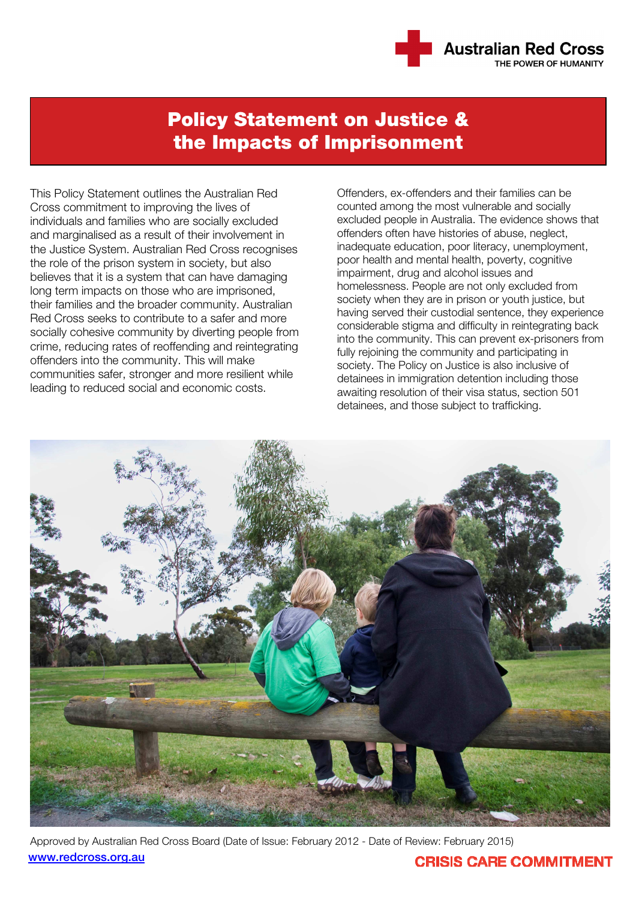

# Policy Statement on Justice & the Impacts of Imprisonment

This Policy Statement outlines the Australian Red Cross commitment to improving the lives of individuals and families who are socially excluded and marginalised as a result of their involvement in the Justice System. Australian Red Cross recognises the role of the prison system in society, but also believes that it is a system that can have damaging long term impacts on those who are imprisoned, their families and the broader community. Australian Red Cross seeks to contribute to a safer and more socially cohesive community by diverting people from crime, reducing rates of reoffending and reintegrating offenders into the community. This will make communities safer, stronger and more resilient while leading to reduced social and economic costs.

Offenders, ex-offenders and their families can be counted among the most vulnerable and socially excluded people in Australia. The evidence shows that offenders often have histories of abuse, neglect, inadequate education, poor literacy, unemployment, poor health and mental health, poverty, cognitive impairment, drug and alcohol issues and homelessness. People are not only excluded from society when they are in prison or youth justice, but having served their custodial sentence, they experience considerable stigma and difficulty in reintegrating back into the community. This can prevent ex-prisoners from fully rejoining the community and participating in society. The Policy on Justice is also inclusive of detainees in immigration detention including those awaiting resolution of their visa status, section 501 detainees, and those subject to trafficking.



Approved by Australian Red Cross Board (Date of Issue: February 2012 - Date of Review: February 2015) www.redcross.org.au

### **CRISIS CARE COMMITMENT**